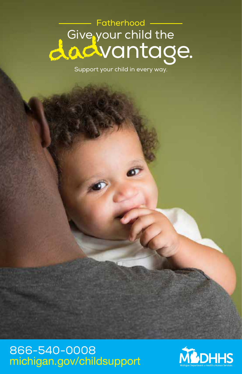# —— Fatherhood ——<br>Give your child the dadvantage.

Support your child in every way.

#### 866-540-0008 michigan.gov/childsupport

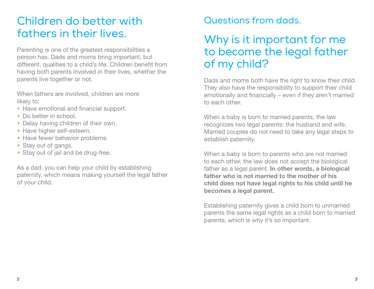#### Children do better with fathers in their lives.

Parenting is one of the greatest responsibilities a person has. Dads and moms bring important, but different, qualities to a child's life. Children benefit from having both parents involved in their lives, whether the parents live together or not.

When fathers are involved, children are more likely to:

- Have emotional and financial support.
- Do better in school.
- Delay having children of their own.
- Have higher self-esteem.
- Have fewer behavior problems.
- Stay out of gangs.
- Stay out of jail and be drug-free.

As a dad, you can help your child by establishing paternity, which means making yourself the legal father of your child.

#### Questions from dads.

### Why is it important for me to become the legal father of my child?

Dads and moms both have the right to know their child. They also have the responsibility to support their child emotionally and financially – even if they aren't married to each other.

When a baby is born to married parents, the law recognizes two legal parents: the husband and wife. Married couples do not need to take any legal steps to establish paternity.

When a baby is born to parents who are not married to each other, the law does not accept the biological father as a legal parent. In other words, a biological father who is not married to the mother of his child does not have legal rights to his child until he becomes a legal parent.

Establishing paternity gives a child born to unmarried parents the same legal rights as a child born to married parents, which is why it's so important.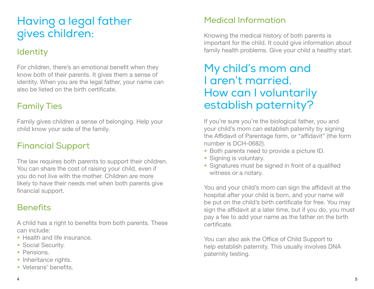### Having a legal father gives children:

#### **Identity**

For children, there's an emotional benefit when they know both of their parents. It gives them a sense of identity. When you are the legal father, your name can also be listed on the birth certificate.

#### Family Ties

Family gives children a sense of belonging. Help your child know your side of the family.

#### Financial Support

The law requires both parents to support their children. You can share the cost of raising your child, even if you do not live with the mother. Children are more likely to have their needs met when both parents give financial support.

#### **Benefits**

A child has a right to benefits from both parents. These can include:

- Health and life insurance.
- Social Security.
- Pensions.
- Inheritance rights.
- Veterans' benefits.

#### Medical Information

Knowing the medical history of both parents is important for the child. It could give information about family health problems. Give your child a healthy start.

#### My child's mom and I aren't married. How can I voluntarily establish paternity?

If you're sure you're the biological father, you and your child's mom can establish paternity by signing the Affidavit of Parentage form, or "affidavit" (the form number is DCH-0682).

- Both parents need to provide a picture ID.
- Signing is voluntary.
- Signatures must be signed in front of a qualified witness or a notary.

You and your child's mom can sign the affidavit at the hospital after your child is born, and your name will be put on the child's birth certificate for free. You may sign the affidavit at a later time, but if you do, you must pay a fee to add your name as the father on the birth certificate.

You can also ask the Office of Child Support to help establish paternity. This usually involves DNA paternity testing.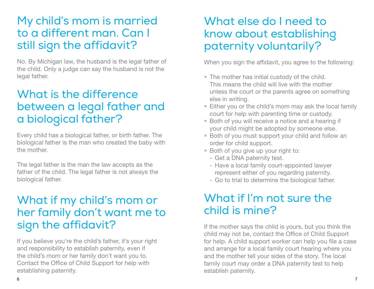#### My child's mom is married to a different man. Can I still sign the affidavit?

No. By Michigan law, the husband is the legal father of the child. Only a judge can say the husband is not the legal father.

### What is the difference between a legal father and a biological father?

Every child has a biological father, or birth father. The biological father is the man who created the baby with the mother.

The legal father is the man the law accepts as the father of the child. The legal father is not always the biological father.

#### What if my child's mom or her family don't want me to sign the affidavit?

If you believe you're the child's father, it's your right and responsibility to establish paternity, even if the child's mom or her family don't want you to. Contact the Office of Child Support for help with establishing paternity.

#### What else do I need to know about establishing paternity voluntarily?

When you sign the affidavit, you agree to the following:

- The mother has initial custody of the child. This means the child will live with the mother unless the court or the parents agree on something else in writing.
- Either you or the child's mom may ask the local family court for help with parenting time or custody.
- Both of you will receive a notice and a hearing if your child might be adopted by someone else.
- Both of you must support your child and follow an order for child support.
- Both of you give up your right to:
	- Get a DNA paternity test.
	- Have a local family court-appointed lawyer represent either of you regarding paternity.
	- Go to trial to determine the biological father.

### What if I'm not sure the child is mine?

If the mother says the child is yours, but you think the child may not be, contact the Office of Child Support for help. A child support worker can help you file a case and arrange for a local family court hearing where you and the mother tell your sides of the story. The local family court may order a DNA paternity test to help establish paternity.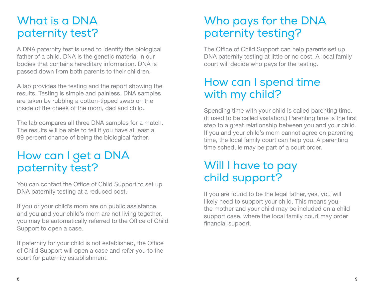### What is a DNA paternity test?

A DNA paternity test is used to identify the biological father of a child. DNA is the genetic material in our bodies that contains hereditary information. DNA is passed down from both parents to their children.

A lab provides the testing and the report showing the results. Testing is simple and painless. DNA samples are taken by rubbing a cotton-tipped swab on the inside of the cheek of the mom, dad and child.

The lab compares all three DNA samples for a match. The results will be able to tell if you have at least a 99 percent chance of being the biological father.

### How can I get a DNA paternity test?

You can contact the Office of Child Support to set up DNA paternity testing at a reduced cost.

If you or your child's mom are on public assistance, and you and your child's mom are not living together, you may be automatically referred to the Office of Child Support to open a case.

If paternity for your child is not established, the Office of Child Support will open a case and refer you to the court for paternity establishment.

### Who pays for the DNA paternity testing?

The Office of Child Support can help parents set up DNA paternity testing at little or no cost. A local family court will decide who pays for the testing.

### How can I spend time with my child?

Spending time with your child is called parenting time. (It used to be called visitation.) Parenting time is the first step to a great relationship between you and your child. If you and your child's mom cannot agree on parenting time, the local family court can help you. A parenting time schedule may be part of a court order.

### Will I have to pay child support?

If you are found to be the legal father, yes, you will likely need to support your child. This means you, the mother and your child may be included on a child support case, where the local family court may order financial support.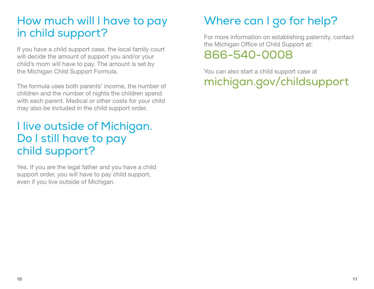### How much will I have to pay in child support?

If you have a child support case, the local family court will decide the amount of support you and/or your child's mom will have to pay. The amount is set by the Michigan Child Support Formula.

The formula uses both parents' income, the number of children and the number of nights the children spend with each parent. Medical or other costs for your child may also be included in the child support order.

### I live outside of Michigan. Do I still have to pay child support?

Yes. If you are the legal father and you have a child support order, you will have to pay child support, even if you live outside of Michigan.

## Where can I go for help?

For more information on establishing paternity, contact the Michigan Office of Child Support at: 866-540-0008

You can also start a child support case at michigan.gov/childsupport